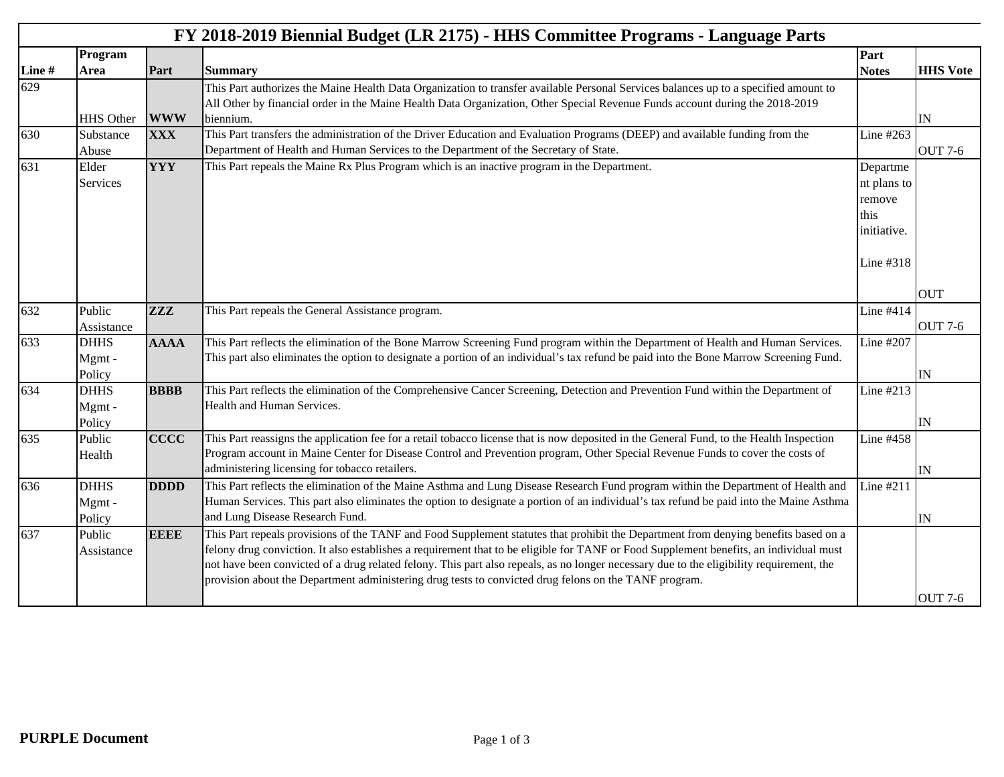|       | Program                        |             | FY 2018-2019 Biennial Budget (LR 2175) - HHS Committee Programs - Language Parts                                                                                                                                                                                                                                                                                                                                                                                                                                                   |                                                                       |                          |
|-------|--------------------------------|-------------|------------------------------------------------------------------------------------------------------------------------------------------------------------------------------------------------------------------------------------------------------------------------------------------------------------------------------------------------------------------------------------------------------------------------------------------------------------------------------------------------------------------------------------|-----------------------------------------------------------------------|--------------------------|
| Line# | <b>Area</b>                    | Part        | <b>Summary</b>                                                                                                                                                                                                                                                                                                                                                                                                                                                                                                                     | Part<br><b>Notes</b>                                                  | <b>HHS Vote</b>          |
| 629   |                                |             | This Part authorizes the Maine Health Data Organization to transfer available Personal Services balances up to a specified amount to<br>All Other by financial order in the Maine Health Data Organization, Other Special Revenue Funds account during the 2018-2019                                                                                                                                                                                                                                                               |                                                                       |                          |
|       | HHS Other                      | <b>WWW</b>  | biennium.                                                                                                                                                                                                                                                                                                                                                                                                                                                                                                                          |                                                                       | IN                       |
| 630   | Substance<br>Abuse             | <b>XXX</b>  | This Part transfers the administration of the Driver Education and Evaluation Programs (DEEP) and available funding from the<br>Department of Health and Human Services to the Department of the Secretary of State.                                                                                                                                                                                                                                                                                                               | Line #263                                                             | <b>OUT 7-6</b>           |
| 631   | Elder<br>Services              | <b>YYY</b>  | This Part repeals the Maine Rx Plus Program which is an inactive program in the Department.                                                                                                                                                                                                                                                                                                                                                                                                                                        | Departme<br>nt plans to<br>remove<br>this<br>initiative.<br>Line #318 | <b>OUT</b>               |
| 632   | Public                         | <b>ZZZ</b>  | This Part repeals the General Assistance program.                                                                                                                                                                                                                                                                                                                                                                                                                                                                                  | Line #414                                                             |                          |
|       | Assistance                     |             |                                                                                                                                                                                                                                                                                                                                                                                                                                                                                                                                    |                                                                       | <b>OUT 7-6</b>           |
| 633   | <b>DHHS</b><br>Mgmt-<br>Policy | <b>AAAA</b> | This Part reflects the elimination of the Bone Marrow Screening Fund program within the Department of Health and Human Services.<br>This part also eliminates the option to designate a portion of an individual's tax refund be paid into the Bone Marrow Screening Fund.                                                                                                                                                                                                                                                         | Line #207                                                             | IN                       |
| 634   | <b>DHHS</b><br>Mgmt-<br>Policy | <b>BBBB</b> | This Part reflects the elimination of the Comprehensive Cancer Screening, Detection and Prevention Fund within the Department of<br>Health and Human Services.                                                                                                                                                                                                                                                                                                                                                                     | Line #213                                                             | <b>IN</b>                |
| 635   | Public<br>Health               | <b>CCCC</b> | This Part reassigns the application fee for a retail tobacco license that is now deposited in the General Fund, to the Health Inspection<br>Program account in Maine Center for Disease Control and Prevention program, Other Special Revenue Funds to cover the costs of<br>administering licensing for tobacco retailers.                                                                                                                                                                                                        | Line #458                                                             | IN                       |
| 636   | <b>DHHS</b><br>Mgmt-<br>Policy | <b>DDDD</b> | This Part reflects the elimination of the Maine Asthma and Lung Disease Research Fund program within the Department of Health and<br>Human Services. This part also eliminates the option to designate a portion of an individual's tax refund be paid into the Maine Asthma<br>and Lung Disease Research Fund.                                                                                                                                                                                                                    | Line #211                                                             | $\ensuremath{\text{IN}}$ |
| 637   | Public<br>Assistance           | <b>EEEE</b> | This Part repeals provisions of the TANF and Food Supplement statutes that prohibit the Department from denying benefits based on a<br>felony drug conviction. It also establishes a requirement that to be eligible for TANF or Food Supplement benefits, an individual must<br>not have been convicted of a drug related felony. This part also repeals, as no longer necessary due to the eligibility requirement, the<br>provision about the Department administering drug tests to convicted drug felons on the TANF program. |                                                                       | <b>OUT 7-6</b>           |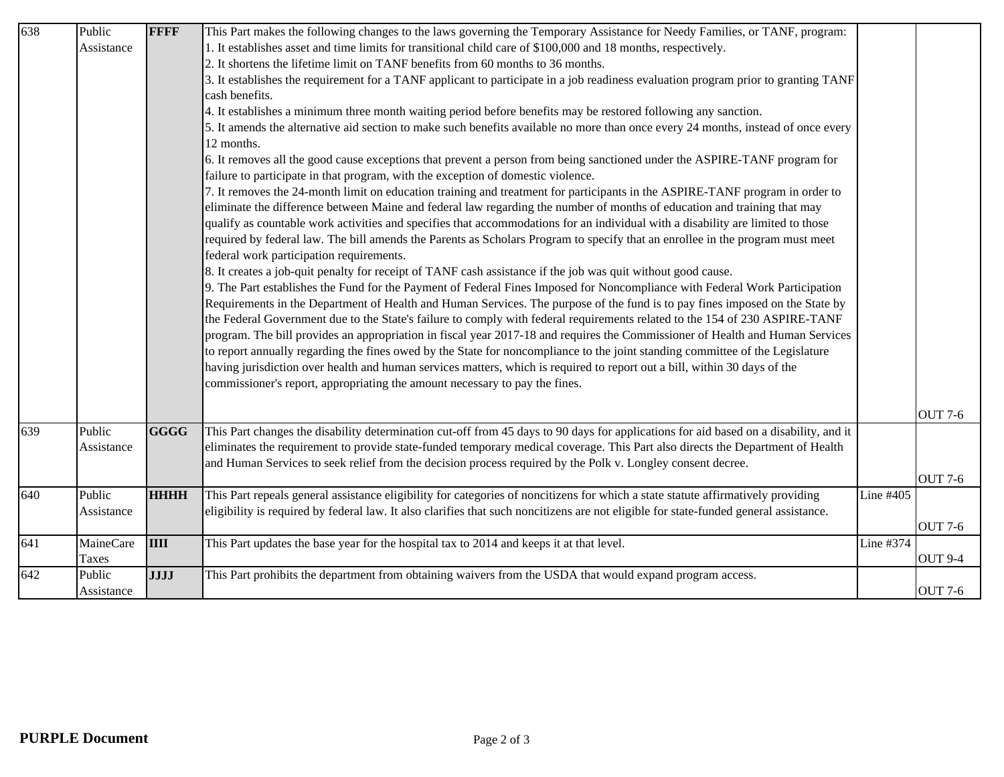| 638 | Public     | <b>FFFF</b> | This Part makes the following changes to the laws governing the Temporary Assistance for Needy Families, or TANF, program:            |           |                |
|-----|------------|-------------|---------------------------------------------------------------------------------------------------------------------------------------|-----------|----------------|
|     | Assistance |             | 1. It establishes asset and time limits for transitional child care of \$100,000 and 18 months, respectively.                         |           |                |
|     |            |             | 2. It shortens the lifetime limit on TANF benefits from 60 months to 36 months.                                                       |           |                |
|     |            |             | 3. It establishes the requirement for a TANF applicant to participate in a job readiness evaluation program prior to granting TANF    |           |                |
|     |            |             | cash benefits.                                                                                                                        |           |                |
|     |            |             | 4. It establishes a minimum three month waiting period before benefits may be restored following any sanction.                        |           |                |
|     |            |             | 5. It amends the alternative aid section to make such benefits available no more than once every 24 months, instead of once every     |           |                |
|     |            |             | 12 months.                                                                                                                            |           |                |
|     |            |             | 6. It removes all the good cause exceptions that prevent a person from being sanctioned under the ASPIRE-TANF program for             |           |                |
|     |            |             | failure to participate in that program, with the exception of domestic violence.                                                      |           |                |
|     |            |             | 7. It removes the 24-month limit on education training and treatment for participants in the ASPIRE-TANF program in order to          |           |                |
|     |            |             | eliminate the difference between Maine and federal law regarding the number of months of education and training that may              |           |                |
|     |            |             | qualify as countable work activities and specifies that accommodations for an individual with a disability are limited to those       |           |                |
|     |            |             | required by federal law. The bill amends the Parents as Scholars Program to specify that an enrollee in the program must meet         |           |                |
|     |            |             | federal work participation requirements.                                                                                              |           |                |
|     |            |             | 8. It creates a job-quit penalty for receipt of TANF cash assistance if the job was quit without good cause.                          |           |                |
|     |            |             | 9. The Part establishes the Fund for the Payment of Federal Fines Imposed for Noncompliance with Federal Work Participation           |           |                |
|     |            |             | Requirements in the Department of Health and Human Services. The purpose of the fund is to pay fines imposed on the State by          |           |                |
|     |            |             | the Federal Government due to the State's failure to comply with federal requirements related to the 154 of 230 ASPIRE-TANF           |           |                |
|     |            |             | program. The bill provides an appropriation in fiscal year 2017-18 and requires the Commissioner of Health and Human Services         |           |                |
|     |            |             | to report annually regarding the fines owed by the State for noncompliance to the joint standing committee of the Legislature         |           |                |
|     |            |             | having jurisdiction over health and human services matters, which is required to report out a bill, within 30 days of the             |           |                |
|     |            |             | commissioner's report, appropriating the amount necessary to pay the fines.                                                           |           |                |
|     |            |             |                                                                                                                                       |           |                |
|     |            |             |                                                                                                                                       |           | <b>OUT 7-6</b> |
| 639 | Public     | <b>GGGG</b> | This Part changes the disability determination cut-off from 45 days to 90 days for applications for aid based on a disability, and it |           |                |
|     | Assistance |             | eliminates the requirement to provide state-funded temporary medical coverage. This Part also directs the Department of Health        |           |                |
|     |            |             | and Human Services to seek relief from the decision process required by the Polk v. Longley consent decree.                           |           |                |
|     |            |             |                                                                                                                                       |           | <b>OUT 7-6</b> |
| 640 | Public     | <b>HHHH</b> | This Part repeals general assistance eligibility for categories of noncitizens for which a state statute affirmatively providing      | Line #405 |                |
|     | Assistance |             | eligibility is required by federal law. It also clarifies that such noncitizens are not eligible for state-funded general assistance. |           |                |
|     |            |             |                                                                                                                                       |           | <b>OUT 7-6</b> |
| 641 | MaineCare  | <b>IIII</b> | This Part updates the base year for the hospital tax to 2014 and keeps it at that level.                                              | Line #374 |                |
|     | Taxes      |             |                                                                                                                                       |           | <b>OUT 9-4</b> |
| 642 | Public     | <b>JJJJ</b> | This Part prohibits the department from obtaining waivers from the USDA that would expand program access.                             |           |                |
|     | Assistance |             |                                                                                                                                       |           | <b>OUT 7-6</b> |